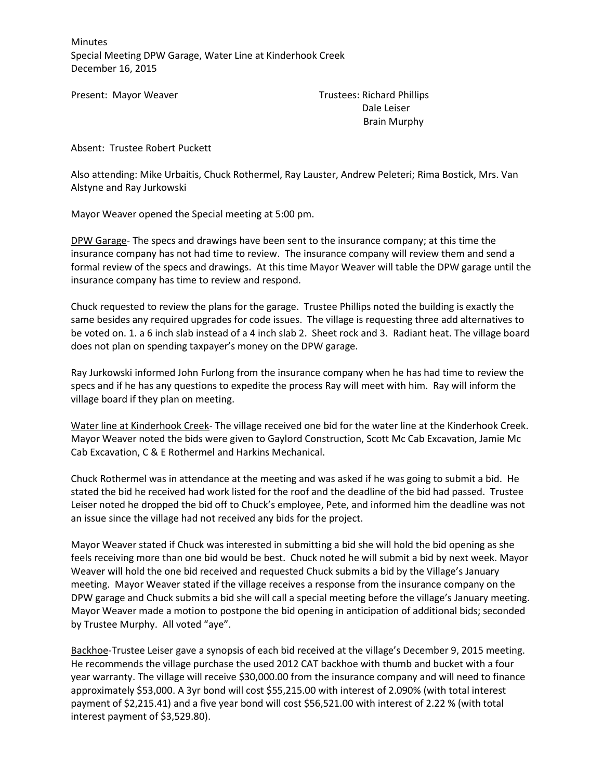Minutes Special Meeting DPW Garage, Water Line at Kinderhook Creek December 16, 2015

Present: Mayor Weaver Trustees: Richard Phillips Dale Leiser Brain Murphy

Absent: Trustee Robert Puckett

Also attending: Mike Urbaitis, Chuck Rothermel, Ray Lauster, Andrew Peleteri; Rima Bostick, Mrs. Van Alstyne and Ray Jurkowski

Mayor Weaver opened the Special meeting at 5:00 pm.

DPW Garage- The specs and drawings have been sent to the insurance company; at this time the insurance company has not had time to review. The insurance company will review them and send a formal review of the specs and drawings. At this time Mayor Weaver will table the DPW garage until the insurance company has time to review and respond.

Chuck requested to review the plans for the garage. Trustee Phillips noted the building is exactly the same besides any required upgrades for code issues. The village is requesting three add alternatives to be voted on. 1. a 6 inch slab instead of a 4 inch slab 2. Sheet rock and 3. Radiant heat. The village board does not plan on spending taxpayer's money on the DPW garage.

Ray Jurkowski informed John Furlong from the insurance company when he has had time to review the specs and if he has any questions to expedite the process Ray will meet with him. Ray will inform the village board if they plan on meeting.

Water line at Kinderhook Creek- The village received one bid for the water line at the Kinderhook Creek. Mayor Weaver noted the bids were given to Gaylord Construction, Scott Mc Cab Excavation, Jamie Mc Cab Excavation, C & E Rothermel and Harkins Mechanical.

Chuck Rothermel was in attendance at the meeting and was asked if he was going to submit a bid. He stated the bid he received had work listed for the roof and the deadline of the bid had passed. Trustee Leiser noted he dropped the bid off to Chuck's employee, Pete, and informed him the deadline was not an issue since the village had not received any bids for the project.

Mayor Weaver stated if Chuck was interested in submitting a bid she will hold the bid opening as she feels receiving more than one bid would be best. Chuck noted he will submit a bid by next week. Mayor Weaver will hold the one bid received and requested Chuck submits a bid by the Village's January meeting. Mayor Weaver stated if the village receives a response from the insurance company on the DPW garage and Chuck submits a bid she will call a special meeting before the village's January meeting. Mayor Weaver made a motion to postpone the bid opening in anticipation of additional bids; seconded by Trustee Murphy. All voted "aye".

Backhoe-Trustee Leiser gave a synopsis of each bid received at the village's December 9, 2015 meeting. He recommends the village purchase the used 2012 CAT backhoe with thumb and bucket with a four year warranty. The village will receive \$30,000.00 from the insurance company and will need to finance approximately \$53,000. A 3yr bond will cost \$55,215.00 with interest of 2.090% (with total interest payment of \$2,215.41) and a five year bond will cost \$56,521.00 with interest of 2.22 % (with total interest payment of \$3,529.80).